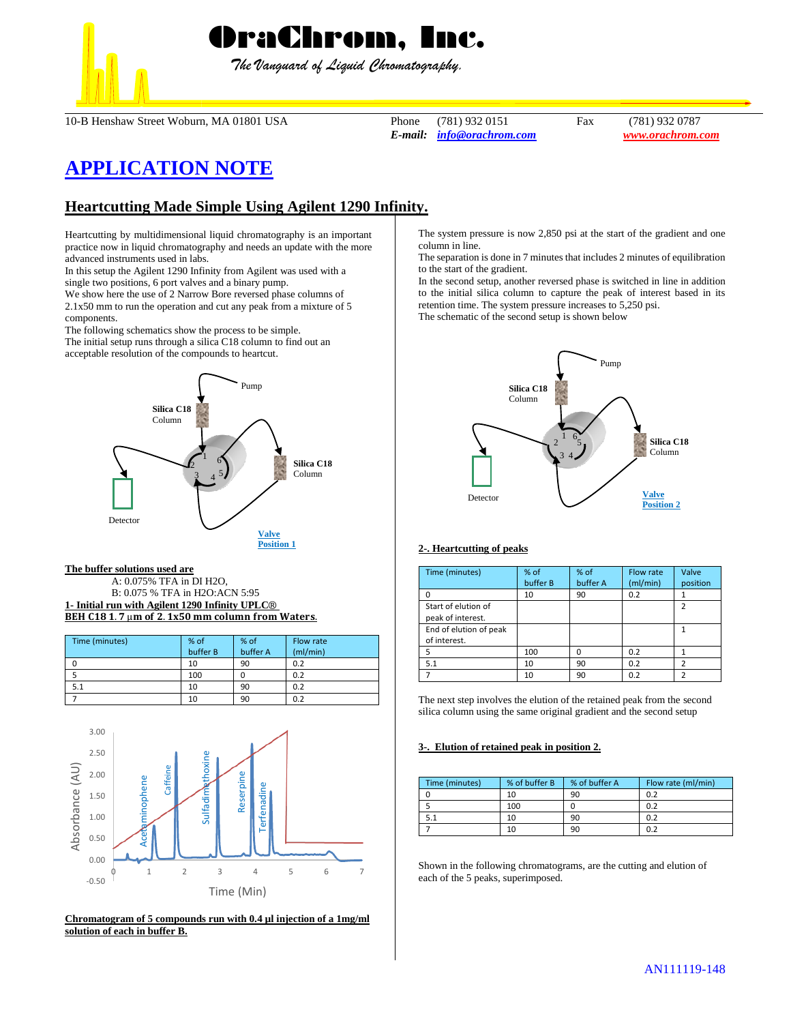

*The Vanguard of Liquid Chromatography.*

10-B Henshaw Street Woburn, MA 01801 USA Phone (781) 932 0151 Fax (781) 932 0787

*E-mail: [info@orachrom.com](mailto:info@orachrom.com) www.orachrom.com*

# **APPLICATION NOTE**

## **Heartcutting Made Simple Using Agilent 1290 Infinity.**

Heartcutting by multidimensional liquid chromatography is an important practice now in liquid chromatography and needs an update with the more advanced instruments used in labs.

In this setup the Agilent 1290 Infinity from Agilent was used with a single two positions, 6 port valves and a binary pump.

We show here the use of 2 Narrow Bore reversed phase columns of 2.1x50 mm to run the operation and cut any peak from a mixture of 5 components.

The following schematics show the process to be simple. The initial setup runs through a silica C18 column to find out an acceptable resolution of the compounds to heartcut.



#### **The buffer solutions used are**

A: 0.075% TFA in DI H2O, B: 0.075 % TFA in H2O:ACN 5:95 **1- Initial run with Agilent 1290 Infinity UPLC**® BEH C18 1.7  $\mu$ m of 2.1x50 mm column from Waters.

| Time (minutes) | % of     | % of     | Flow rate |
|----------------|----------|----------|-----------|
|                | buffer B | buffer A | (mI/min)  |
|                | 10       | 90       | 0.2       |
|                | 100      |          | 0.2       |
|                | 10       | 90       | 0.2       |
|                | 10       | 90       | 0.2       |



**Chromatogram of 5 compounds run with 0.4 µl injection of a 1mg/ml solution of each in buffer B.**

The system pressure is now 2,850 psi at the start of the gradient and one column in line.

The separation is done in 7 minutes that includes 2 minutes of equilibration to the start of the gradient.

In the second setup, another reversed phase is switched in line in addition to the initial silica column to capture the peak of interest based in its retention time. The system pressure increases to 5,250 psi.

The schematic of the second setup is shown below



### **2-. Heartcutting of peaks**

| Time (minutes)         | % of     | % of     | Flow rate | Valve         |
|------------------------|----------|----------|-----------|---------------|
|                        | buffer B | buffer A | (mI/min)  | position      |
| n                      | 10       | 90       | 0.2       |               |
| Start of elution of    |          |          |           | $\mathfrak z$ |
| peak of interest.      |          |          |           |               |
| End of elution of peak |          |          |           |               |
| of interest.           |          |          |           |               |
| 5                      | 100      | n        | 0.2       |               |
| 5.1                    | 10       | 90       | 0.2       |               |
|                        | 10       | 90       | 0.2       |               |

The next step involves the elution of the retained peak from the second silica column using the same original gradient and the second setup

#### **3-. Elution of retained peak in position 2.**

| Time (minutes) | % of buffer B | % of buffer A | Flow rate (ml/min) |
|----------------|---------------|---------------|--------------------|
|                | 10            | 90            | 0.2                |
|                | 100           |               | 0.2                |
|                | 10            | 90            | 0.2                |
|                | 10            | 90            |                    |

Shown in the following chromatograms, are the cutting and elution of each of the 5 peaks, superimposed.